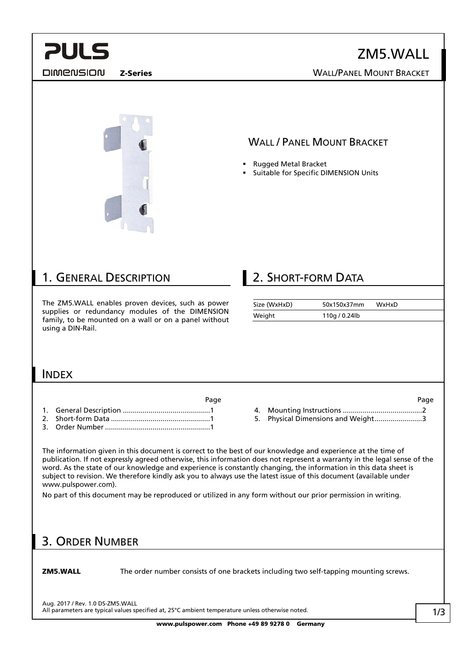<span id="page-0-0"></span>

ZM5.WALL Z-Series WALL/PANEL MOUNT BRACKET

**DIMENSION** 

### WALL / PANEL MOUNT BRACKET

- Rugged Metal Bracket
- Suitable for Specific DIMENSION Units

### 1. GENERAL DESCRIPTION

The ZM5.WALL enables proven devices, such as power supplies or redundancy modules of the DIMENSION family, to be mounted on a wall or on a panel without using a DIN-Rail.

### **2. SHORT-FORM DATA**

| Size (WxHxD) | 50x150x37mm   | WxHxD |
|--------------|---------------|-------|
| Weight       | 110g / 0.24lb |       |

### INDEX

- en die staat 1960 van die 1960 van die 1960 van die 1960 van die 1960 van die 1960 van die 1960 van die 1960 v [1.](#page-0-0) General Description [............................................1](#page-0-0)
- [2.](#page-0-0) Short-form Data [..................................................1](#page-0-0)
- [3.](#page-0-0) Order Number [.....................................................1](#page-0-0)

[4.](#page-1-0) Mounting Instructions [........................................2](#page-1-0) [5.](#page-2-0) [Physical Dimensions and Weight........................3](#page-2-0)

The information given in this document is correct to the best of our knowledge and experience at the time of publication. If not expressly agreed otherwise, this information does not represent a warranty in the legal sense of the word. As the state of our knowledge and experience is constantly changing, the information in this data sheet is subject to revision. We therefore kindly ask you to always use the latest issue of this document (available under www.pulspower.com).

No part of this document may be reproduced or utilized in any form without our prior permission in writing.

### 3. ORDER NUMBER

**ZM5.WALL** The order number consists of one brackets including two self-tapping mounting screws.

Aug. 2017 / Rev. 1.0 DS-ZM5.WALL All parameters are typical values specified at, 25°C ambient temperature unless otherwise noted.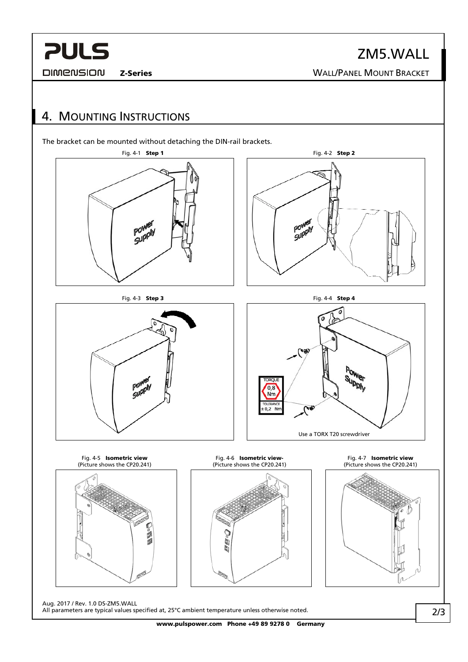# <span id="page-1-0"></span>**PULS**

**DIMENSION** 

ZM5.WALL Z-Series WALL/PANEL MOUNT BRACKET

### 4. MOUNTING INSTRUCTIONS

The bracket can be mounted without detaching the DIN-rail brackets.



Aug. 2017 / Rev. 1.0 DS-ZM5.WALL All parameters are typical values specified at, 25°C ambient temperature unless otherwise noted.

www.pulspower.com Phone +49 89 9278 0 Germany